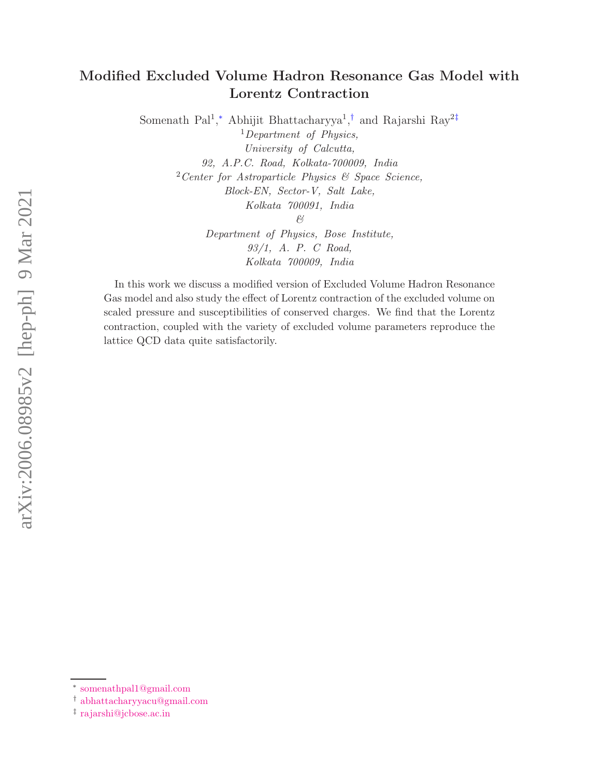# Modified Excluded Volume Hadron Resonance Gas Model with Lorentz Contraction

Somenath Pal<sup>1</sup>,\* Abhijit Bhattacharyya<sup>1</sup>,<sup>†</sup> and Rajarshi Ray<sup>2‡</sup>

 $1$ Department of Physics, University of Calcutta, 92, A.P.C. Road, Kolkata-700009, India  $2$ Center for Astroparticle Physics  $\mathcal{C}$  Space Science, Block-EN, Sector-V, Salt Lake, Kolkata 700091, India & Department of Physics, Bose Institute,

> 93/1, A. P. C Road, Kolkata 700009, India

In this work we discuss a modified version of Excluded Volume Hadron Resonance Gas model and also study the effect of Lorentz contraction of the excluded volume on scaled pressure and susceptibilities of conserved charges. We find that the Lorentz contraction, coupled with the variety of excluded volume parameters reproduce the lattice QCD data quite satisfactorily.

<sup>∗</sup> somenathpal1@gmail.com

<sup>†</sup> abhattacharyyacu@gmail.com

<sup>‡</sup> rajarshi@jcbose.ac.in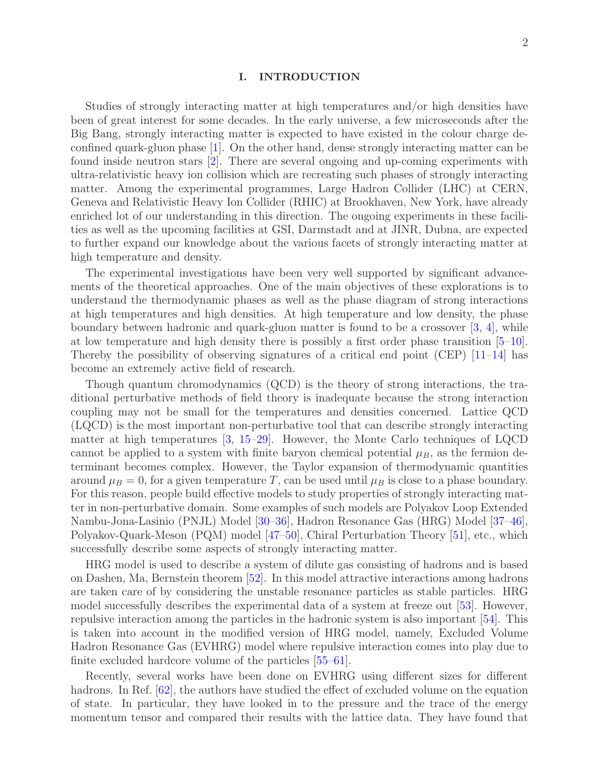#### I. INTRODUCTION

Studies of strongly interacting matter at high temperatures and/or high densities have been of great interest for some decades. In the early universe, a few microseconds after the Big Bang, strongly interacting matter is expected to have existed in the colour charge deconfined quark-gluon phase [1]. On the other hand, dense strongly interacting matter can be found inside neutron stars [2]. There are several ongoing and up-coming experiments with ultra-relativistic heavy ion collision which are recreating such phases of strongly interacting matter. Among the experimental programmes, Large Hadron Collider (LHC) at CERN, Geneva and Relativistic Heavy Ion Collider (RHIC) at Brookhaven, New York, have already enriched lot of our understanding in this direction. The ongoing experiments in these facilities as well as the upcoming facilities at GSI, Darmstadt and at JINR, Dubna, are expected to further expand our knowledge about the various facets of strongly interacting matter at high temperature and density.

The experimental investigations have been very well supported by significant advancements of the theoretical approaches. One of the main objectives of these explorations is to understand the thermodynamic phases as well as the phase diagram of strong interactions at high temperatures and high densities. At high temperature and low density, the phase boundary between hadronic and quark-gluon matter is found to be a crossover [3, 4], while at low temperature and high density there is possibly a first order phase transition [5–10]. Thereby the possibility of observing signatures of a critical end point  $(CEP)$  [11–14] has become an extremely active field of research.

Though quantum chromodynamics (QCD) is the theory of strong interactions, the traditional perturbative methods of field theory is inadequate because the strong interaction coupling may not be small for the temperatures and densities concerned. Lattice QCD (LQCD) is the most important non-perturbative tool that can describe strongly interacting matter at high temperatures [3, 15–29]. However, the Monte Carlo techniques of LQCD cannot be applied to a system with finite baryon chemical potential  $\mu_B$ , as the fermion determinant becomes complex. However, the Taylor expansion of thermodynamic quantities around  $\mu_B = 0$ , for a given temperature T, can be used until  $\mu_B$  is close to a phase boundary. For this reason, people build effective models to study properties of strongly interacting matter in non-perturbative domain. Some examples of such models are Polyakov Loop Extended Nambu-Jona-Lasinio (PNJL) Model [30–36], Hadron Resonance Gas (HRG) Model [37–46], Polyakov-Quark-Meson (PQM) model [47–50], Chiral Perturbation Theory [51], etc., which successfully describe some aspects of strongly interacting matter.

HRG model is used to describe a system of dilute gas consisting of hadrons and is based on Dashen, Ma, Bernstein theorem [52]. In this model attractive interactions among hadrons are taken care of by considering the unstable resonance particles as stable particles. HRG model successfully describes the experimental data of a system at freeze out [53]. However, repulsive interaction among the particles in the hadronic system is also important [54]. This is taken into account in the modified version of HRG model, namely, Excluded Volume Hadron Resonance Gas (EVHRG) model where repulsive interaction comes into play due to finite excluded hardcore volume of the particles [55–61].

Recently, several works have been done on EVHRG using different sizes for different hadrons. In Ref. [62], the authors have studied the effect of excluded volume on the equation of state. In particular, they have looked in to the pressure and the trace of the energy momentum tensor and compared their results with the lattice data. They have found that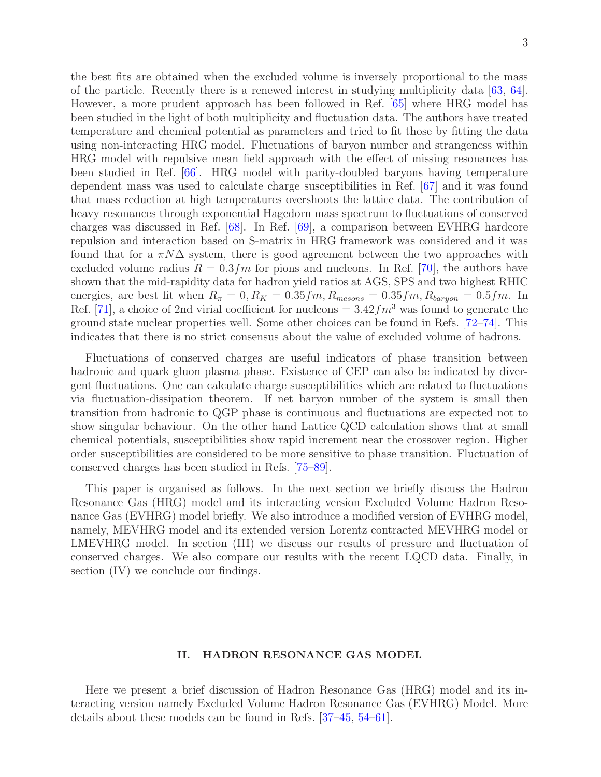the best fits are obtained when the excluded volume is inversely proportional to the mass of the particle. Recently there is a renewed interest in studying multiplicity data [63, 64]. However, a more prudent approach has been followed in Ref. [65] where HRG model has been studied in the light of both multiplicity and fluctuation data. The authors have treated temperature and chemical potential as parameters and tried to fit those by fitting the data using non-interacting HRG model. Fluctuations of baryon number and strangeness within HRG model with repulsive mean field approach with the effect of missing resonances has been studied in Ref. [66]. HRG model with parity-doubled baryons having temperature dependent mass was used to calculate charge susceptibilities in Ref. [67] and it was found that mass reduction at high temperatures overshoots the lattice data. The contribution of heavy resonances through exponential Hagedorn mass spectrum to fluctuations of conserved charges was discussed in Ref. [68]. In Ref. [69], a comparison between EVHRG hardcore repulsion and interaction based on S-matrix in HRG framework was considered and it was found that for a  $\pi N\Delta$  system, there is good agreement between the two approaches with excluded volume radius  $R = 0.3$  fm for pions and nucleons. In Ref. [70], the authors have shown that the mid-rapidity data for hadron yield ratios at AGS, SPS and two highest RHIC energies, are best fit when  $R_{\pi} = 0, R_K = 0.35 fm, R_{mesons} = 0.35 fm, R_{baryon} = 0.5 fm$ . In Ref. [71], a choice of 2nd virial coefficient for nucleons  $= 3.42 fm^3$  was found to generate the ground state nuclear properties well. Some other choices can be found in Refs. [72–74]. This indicates that there is no strict consensus about the value of excluded volume of hadrons.

Fluctuations of conserved charges are useful indicators of phase transition between hadronic and quark gluon plasma phase. Existence of CEP can also be indicated by divergent fluctuations. One can calculate charge susceptibilities which are related to fluctuations via fluctuation-dissipation theorem. If net baryon number of the system is small then transition from hadronic to QGP phase is continuous and fluctuations are expected not to show singular behaviour. On the other hand Lattice QCD calculation shows that at small chemical potentials, susceptibilities show rapid increment near the crossover region. Higher order susceptibilities are considered to be more sensitive to phase transition. Fluctuation of conserved charges has been studied in Refs. [75–89].

This paper is organised as follows. In the next section we briefly discuss the Hadron Resonance Gas (HRG) model and its interacting version Excluded Volume Hadron Resonance Gas (EVHRG) model briefly. We also introduce a modified version of EVHRG model, namely, MEVHRG model and its extended version Lorentz contracted MEVHRG model or LMEVHRG model. In section (III) we discuss our results of pressure and fluctuation of conserved charges. We also compare our results with the recent LQCD data. Finally, in section (IV) we conclude our findings.

## II. HADRON RESONANCE GAS MODEL

Here we present a brief discussion of Hadron Resonance Gas (HRG) model and its interacting version namely Excluded Volume Hadron Resonance Gas (EVHRG) Model. More details about these models can be found in Refs. [37–45, 54–61].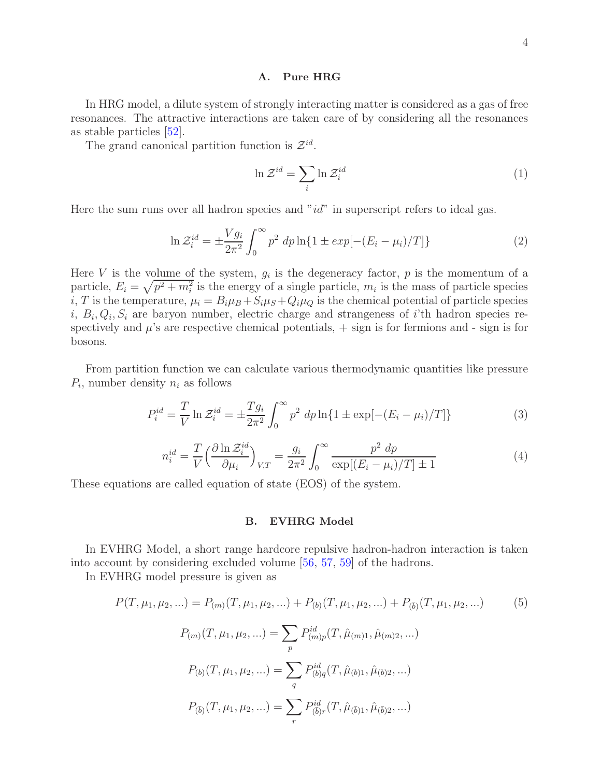#### A. Pure HRG

In HRG model, a dilute system of strongly interacting matter is considered as a gas of free resonances. The attractive interactions are taken care of by considering all the resonances as stable particles [52].

The grand canonical partition function is  $\mathcal{Z}^{id}$ .

$$
\ln \mathcal{Z}^{id} = \sum_{i} \ln \mathcal{Z}^{id}_{i}
$$
 (1)

Here the sum runs over all hadron species and " $id$ " in superscript refers to ideal gas.

$$
\ln \mathcal{Z}_i^{id} = \pm \frac{V g_i}{2\pi^2} \int_0^\infty p^2 \, dp \ln\{1 \pm \exp[-(E_i - \mu_i)/T]\} \tag{2}
$$

Here V is the volume of the system,  $g_i$  is the degeneracy factor, p is the momentum of a particle,  $E_i = \sqrt{p^2 + m_i^2}$  is the energy of a single particle,  $m_i$  is the mass of particle species i, T is the temperature,  $\mu_i = B_i \mu_B + S_i \mu_S + Q_i \mu_Q$  is the chemical potential of particle species  $i, B_i, Q_i, S_i$  are baryon number, electric charge and strangeness of i'th hadron species respectively and  $\mu$ 's are respective chemical potentials,  $+$  sign is for fermions and - sign is for bosons.

From partition function we can calculate various thermodynamic quantities like pressure  $P_i$ , number density  $n_i$  as follows

$$
P_i^{id} = \frac{T}{V} \ln \mathcal{Z}_i^{id} = \pm \frac{T g_i}{2\pi^2} \int_0^\infty p^2 \, dp \ln\{1 \pm \exp[-(E_i - \mu_i)/T]\} \tag{3}
$$

$$
n_i^{id} = \frac{T}{V} \left(\frac{\partial \ln \mathcal{Z}_i^{id}}{\partial \mu_i}\right)_{V,T} = \frac{g_i}{2\pi^2} \int_0^\infty \frac{p^2 \, dp}{\exp[(E_i - \mu_i)/T] \pm 1} \tag{4}
$$

These equations are called equation of state (EOS) of the system.

### B. EVHRG Model

In EVHRG Model, a short range hardcore repulsive hadron-hadron interaction is taken into account by considering excluded volume [56, 57, 59] of the hadrons.

In EVHRG model pressure is given as

$$
P(T, \mu_1, \mu_2, \ldots) = P_{(m)}(T, \mu_1, \mu_2, \ldots) + P_{(b)}(T, \mu_1, \mu_2, \ldots) + P_{(\bar{b})}(T, \mu_1, \mu_2, \ldots)
$$
(5)  

$$
P_{(m)}(T, \mu_1, \mu_2, \ldots) = \sum_p P_{(m)p}^{id}(T, \hat{\mu}_{(m)1}, \hat{\mu}_{(m)2}, \ldots)
$$
  

$$
P_{(b)}(T, \mu_1, \mu_2, \ldots) = \sum_q P_{(b)q}^{id}(T, \hat{\mu}_{(b)1}, \hat{\mu}_{(b)2}, \ldots)
$$
  

$$
P_{(\bar{b})}(T, \mu_1, \mu_2, \ldots) = \sum_r P_{(\bar{b})r}^{id}(T, \hat{\mu}_{(\bar{b})1}, \hat{\mu}_{(\bar{b})2}, \ldots)
$$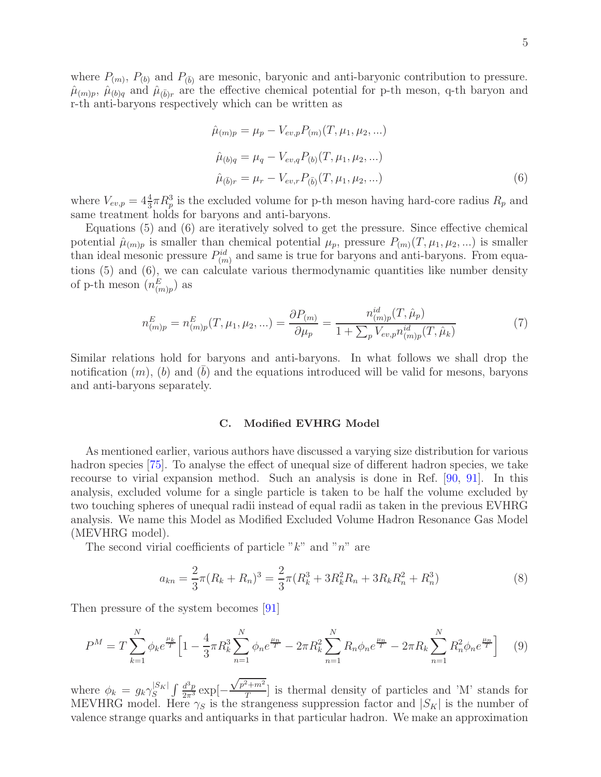where  $P_{(m)}$ ,  $P_{(b)}$  and  $P_{(\bar{b})}$  are mesonic, baryonic and anti-baryonic contribution to pressure.  $\hat{\mu}_{(m)p}, \hat{\mu}_{(b)q}$  and  $\hat{\mu}_{(\bar{b})r}$  are the effective chemical potential for p-th meson, q-th baryon and r-th anti-baryons respectively which can be written as

$$
\hat{\mu}_{(m)p} = \mu_p - V_{ev,p} P_{(m)}(T, \mu_1, \mu_2, ...)
$$
  
\n
$$
\hat{\mu}_{(b)q} = \mu_q - V_{ev,q} P_{(b)}(T, \mu_1, \mu_2, ...)
$$
  
\n
$$
\hat{\mu}_{(\bar{b})r} = \mu_r - V_{ev,r} P_{(\bar{b})}(T, \mu_1, \mu_2, ...)
$$
\n(6)

where  $V_{ev,p} = 4\frac{4}{3}\pi R_p^3$  is the excluded volume for p-th meson having hard-core radius  $R_p$  and same treatment holds for baryons and anti-baryons.

Equations (5) and (6) are iteratively solved to get the pressure. Since effective chemical potential  $\hat{\mu}_{(m)p}$  is smaller than chemical potential  $\mu_p$ , pressure  $P_{(m)}(T,\mu_1,\mu_2,...)$  is smaller than ideal mesonic pressure  $P_{(m)}^{id}$  and same is true for baryons and anti-baryons. From equations (5) and (6), we can calculate various thermodynamic quantities like number density of p-th meson  $(n_{(m)p}^E)$  as

$$
n_{(m)p}^{E} = n_{(m)p}^{E}(T, \mu_1, \mu_2, \ldots) = \frac{\partial P_{(m)}}{\partial \mu_p} = \frac{n_{(m)p}^{id}(T, \hat{\mu}_p)}{1 + \sum_{p} V_{ev,p} n_{(m)p}^{id}(T, \hat{\mu}_k)}
$$
(7)

Similar relations hold for baryons and anti-baryons. In what follows we shall drop the notification  $(m)$ ,  $(b)$  and  $(b)$  and the equations introduced will be valid for mesons, baryons and anti-baryons separately.

### C. Modified EVHRG Model

As mentioned earlier, various authors have discussed a varying size distribution for various hadron species [75]. To analyse the effect of unequal size of different hadron species, we take recourse to virial expansion method. Such an analysis is done in Ref. [90, 91]. In this analysis, excluded volume for a single particle is taken to be half the volume excluded by two touching spheres of unequal radii instead of equal radii as taken in the previous EVHRG analysis. We name this Model as Modified Excluded Volume Hadron Resonance Gas Model (MEVHRG model).

The second virial coefficients of particle " $k$ " and "n" are

$$
a_{kn} = \frac{2}{3}\pi (R_k + R_n)^3 = \frac{2}{3}\pi (R_k^3 + 3R_k^2 R_n + 3R_k R_n^2 + R_n^3)
$$
\n(8)

Then pressure of the system becomes [91]

$$
P^{M} = T \sum_{k=1}^{N} \phi_{k} e^{\frac{\mu_{k}}{T}} \Big[ 1 - \frac{4}{3} \pi R_{k}^{3} \sum_{n=1}^{N} \phi_{n} e^{\frac{\mu_{n}}{T}} - 2 \pi R_{k}^{2} \sum_{n=1}^{N} R_{n} \phi_{n} e^{\frac{\mu_{n}}{T}} - 2 \pi R_{k} \sum_{n=1}^{N} R_{n}^{2} \phi_{n} e^{\frac{\mu_{n}}{T}} \Big] \tag{9}
$$

where  $\phi_k = g_k \gamma_S^{|S_K|} \int \frac{d^3p}{2\pi^3} \exp[-\frac{1}{2}$  $\sqrt{p^2+m^2}$  $\frac{m}{T}$  is thermal density of particles and 'M' stands for MEVHRG model. Here  $\gamma_S$  is the strangeness suppression factor and  $|S_K|$  is the number of valence strange quarks and antiquarks in that particular hadron. We make an approximation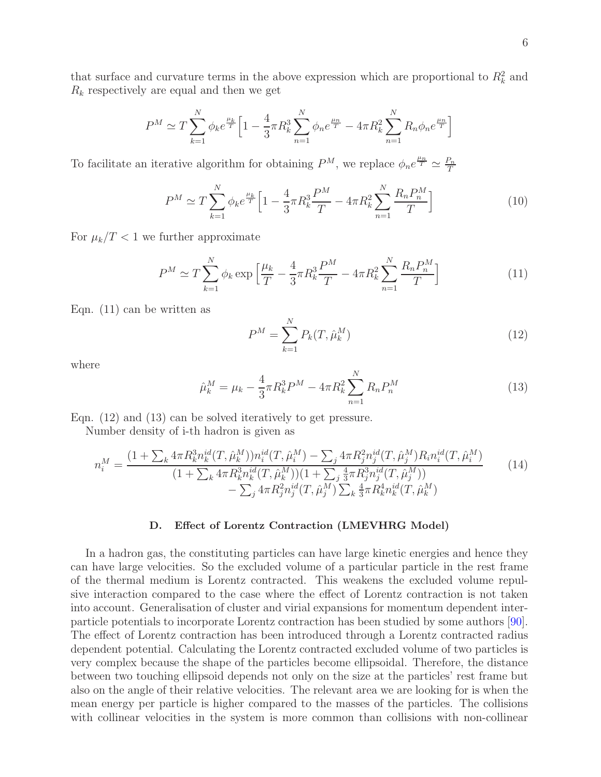that surface and curvature terms in the above expression which are proportional to  $R_k^2$  and  $R_k$  respectively are equal and then we get

$$
P^{M} \simeq T \sum_{k=1}^{N} \phi_{k} e^{\frac{\mu_{k}}{T}} \Big[ 1 - \frac{4}{3} \pi R_{k}^{3} \sum_{n=1}^{N} \phi_{n} e^{\frac{\mu_{n}}{T}} - 4 \pi R_{k}^{2} \sum_{n=1}^{N} R_{n} \phi_{n} e^{\frac{\mu_{n}}{T}} \Big]
$$

To facilitate an iterative algorithm for obtaining  $P^M$ , we replace  $\phi_n e^{\frac{\mu_n}{T}} \simeq \frac{P_n}{T}$ T

$$
P^{M} \simeq T \sum_{k=1}^{N} \phi_{k} e^{\frac{\mu_{k}}{T}} \left[ 1 - \frac{4}{3} \pi R_{k}^{3} \frac{P^{M}}{T} - 4 \pi R_{k}^{2} \sum_{n=1}^{N} \frac{R_{n} P_{n}^{M}}{T} \right]
$$
(10)

For  $\mu_k/T < 1$  we further approximate

$$
P^{M} \simeq T \sum_{k=1}^{N} \phi_k \exp\left[\frac{\mu_k}{T} - \frac{4}{3}\pi R_k^3 \frac{P^M}{T} - 4\pi R_k^2 \sum_{n=1}^{N} \frac{R_n P_n^M}{T}\right]
$$
(11)

Eqn. (11) can be written as

$$
P^{M} = \sum_{k=1}^{N} P_{k}(T, \hat{\mu}_{k}^{M})
$$
\n(12)

where

$$
\hat{\mu}_k^M = \mu_k - \frac{4}{3}\pi R_k^3 P^M - 4\pi R_k^2 \sum_{n=1}^N R_n P_n^M \tag{13}
$$

Eqn. (12) and (13) can be solved iteratively to get pressure.

Number density of i-th hadron is given as

$$
n_i^M = \frac{(1 + \sum_k 4\pi R_k^3 n_k^{id}(T, \hat{\mu}_k^M)) n_i^{id}(T, \hat{\mu}_i^M) - \sum_j 4\pi R_j^2 n_j^{id}(T, \hat{\mu}_j^M) R_i n_i^{id}(T, \hat{\mu}_i^M)}{(1 + \sum_k 4\pi R_k^3 n_k^{id}(T, \hat{\mu}_k^M))(1 + \sum_j \frac{4}{3}\pi R_j^3 n_j^{id}(T, \hat{\mu}_j^M))} - \sum_j 4\pi R_j^2 n_j^{id}(T, \hat{\mu}_j^M) \sum_k \frac{4}{3}\pi R_k^4 n_k^{id}(T, \hat{\mu}_k^M)}
$$
(14)

#### D. Effect of Lorentz Contraction (LMEVHRG Model)

In a hadron gas, the constituting particles can have large kinetic energies and hence they can have large velocities. So the excluded volume of a particular particle in the rest frame of the thermal medium is Lorentz contracted. This weakens the excluded volume repulsive interaction compared to the case where the effect of Lorentz contraction is not taken into account. Generalisation of cluster and virial expansions for momentum dependent interparticle potentials to incorporate Lorentz contraction has been studied by some authors [90]. The effect of Lorentz contraction has been introduced through a Lorentz contracted radius dependent potential. Calculating the Lorentz contracted excluded volume of two particles is very complex because the shape of the particles become ellipsoidal. Therefore, the distance between two touching ellipsoid depends not only on the size at the particles' rest frame but also on the angle of their relative velocities. The relevant area we are looking for is when the mean energy per particle is higher compared to the masses of the particles. The collisions with collinear velocities in the system is more common than collisions with non-collinear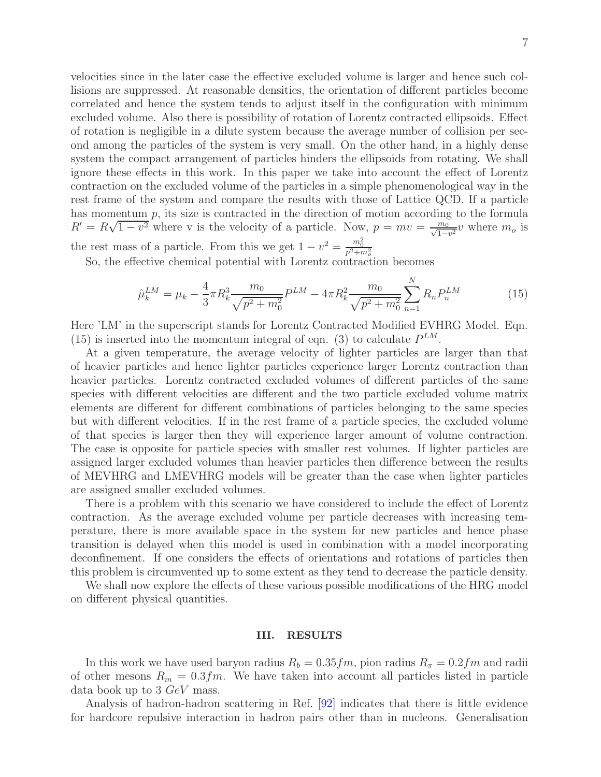velocities since in the later case the effective excluded volume is larger and hence such collisions are suppressed. At reasonable densities, the orientation of different particles become correlated and hence the system tends to adjust itself in the configuration with minimum excluded volume. Also there is possibility of rotation of Lorentz contracted ellipsoids. Effect of rotation is negligible in a dilute system because the average number of collision per second among the particles of the system is very small. On the other hand, in a highly dense system the compact arrangement of particles hinders the ellipsoids from rotating. We shall ignore these effects in this work. In this paper we take into account the effect of Lorentz contraction on the excluded volume of the particles in a simple phenomenological way in the rest frame of the system and compare the results with those of Lattice QCD. If a particle has momentum  $p$ , its size is contracted in the direction of motion according to the formula  $R' = R\sqrt{1 - v^2}$  where v is the velocity of a particle. Now,  $p = mv = \frac{m_0}{\sqrt{1 - v^2}}v$  where  $m_0$  is the rest mass of a particle. From this we get  $1 - v^2 = \frac{m_0^2}{p^2 + m_o^2}$ 

So, the effective chemical potential with Lorentz contraction becomes

$$
\hat{\mu}_k^{LM} = \mu_k - \frac{4}{3}\pi R_k^3 \frac{m_0}{\sqrt{p^2 + m_0^2}} P^{LM} - 4\pi R_k^2 \frac{m_0}{\sqrt{p^2 + m_0^2}} \sum_{n=1}^N R_n P_n^{LM} \tag{15}
$$

Here 'LM' in the superscript stands for Lorentz Contracted Modified EVHRG Model. Eqn. (15) is inserted into the momentum integral of eqn. (3) to calculate  $P^{LM}$ .

At a given temperature, the average velocity of lighter particles are larger than that of heavier particles and hence lighter particles experience larger Lorentz contraction than heavier particles. Lorentz contracted excluded volumes of different particles of the same species with different velocities are different and the two particle excluded volume matrix elements are different for different combinations of particles belonging to the same species but with different velocities. If in the rest frame of a particle species, the excluded volume of that species is larger then they will experience larger amount of volume contraction. The case is opposite for particle species with smaller rest volumes. If lighter particles are assigned larger excluded volumes than heavier particles then difference between the results of MEVHRG and LMEVHRG models will be greater than the case when lighter particles are assigned smaller excluded volumes.

There is a problem with this scenario we have considered to include the effect of Lorentz contraction. As the average excluded volume per particle decreases with increasing temperature, there is more available space in the system for new particles and hence phase transition is delayed when this model is used in combination with a model incorporating deconfinement. If one considers the effects of orientations and rotations of particles then this problem is circumvented up to some extent as they tend to decrease the particle density.

We shall now explore the effects of these various possible modifications of the HRG model on different physical quantities.

#### III. RESULTS

In this work we have used baryon radius  $R_b = 0.35fm$ , pion radius  $R<sub>\pi</sub> = 0.2fm$  and radii of other mesons  $R_m = 0.3fm$ . We have taken into account all particles listed in particle data book up to 3 GeV mass.

Analysis of hadron-hadron scattering in Ref. [92] indicates that there is little evidence for hardcore repulsive interaction in hadron pairs other than in nucleons. Generalisation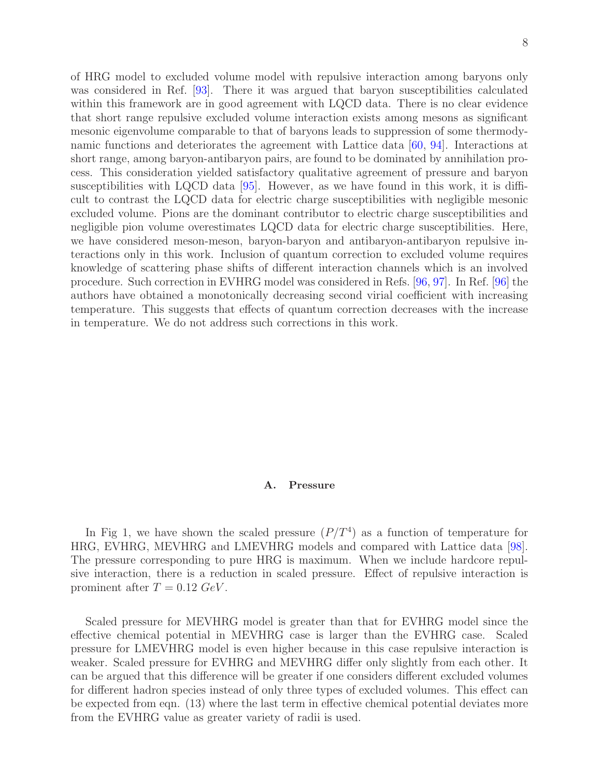of HRG model to excluded volume model with repulsive interaction among baryons only was considered in Ref. [93]. There it was argued that baryon susceptibilities calculated within this framework are in good agreement with LQCD data. There is no clear evidence that short range repulsive excluded volume interaction exists among mesons as significant mesonic eigenvolume comparable to that of baryons leads to suppression of some thermodynamic functions and deteriorates the agreement with Lattice data [60, 94]. Interactions at short range, among baryon-antibaryon pairs, are found to be dominated by annihilation process. This consideration yielded satisfactory qualitative agreement of pressure and baryon susceptibilities with LQCD data [95]. However, as we have found in this work, it is difficult to contrast the LQCD data for electric charge susceptibilities with negligible mesonic excluded volume. Pions are the dominant contributor to electric charge susceptibilities and negligible pion volume overestimates LQCD data for electric charge susceptibilities. Here, we have considered meson-meson, baryon-baryon and antibaryon-antibaryon repulsive interactions only in this work. Inclusion of quantum correction to excluded volume requires knowledge of scattering phase shifts of different interaction channels which is an involved procedure. Such correction in EVHRG model was considered in Refs. [96, 97]. In Ref. [96] the authors have obtained a monotonically decreasing second virial coefficient with increasing temperature. This suggests that effects of quantum correction decreases with the increase in temperature. We do not address such corrections in this work.

## A. Pressure

In Fig 1, we have shown the scaled pressure  $(P/T<sup>4</sup>)$  as a function of temperature for HRG, EVHRG, MEVHRG and LMEVHRG models and compared with Lattice data [98]. The pressure corresponding to pure HRG is maximum. When we include hardcore repulsive interaction, there is a reduction in scaled pressure. Effect of repulsive interaction is prominent after  $T = 0.12 \text{ GeV}$ .

Scaled pressure for MEVHRG model is greater than that for EVHRG model since the effective chemical potential in MEVHRG case is larger than the EVHRG case. Scaled pressure for LMEVHRG model is even higher because in this case repulsive interaction is weaker. Scaled pressure for EVHRG and MEVHRG differ only slightly from each other. It can be argued that this difference will be greater if one considers different excluded volumes for different hadron species instead of only three types of excluded volumes. This effect can be expected from eqn. (13) where the last term in effective chemical potential deviates more from the EVHRG value as greater variety of radii is used.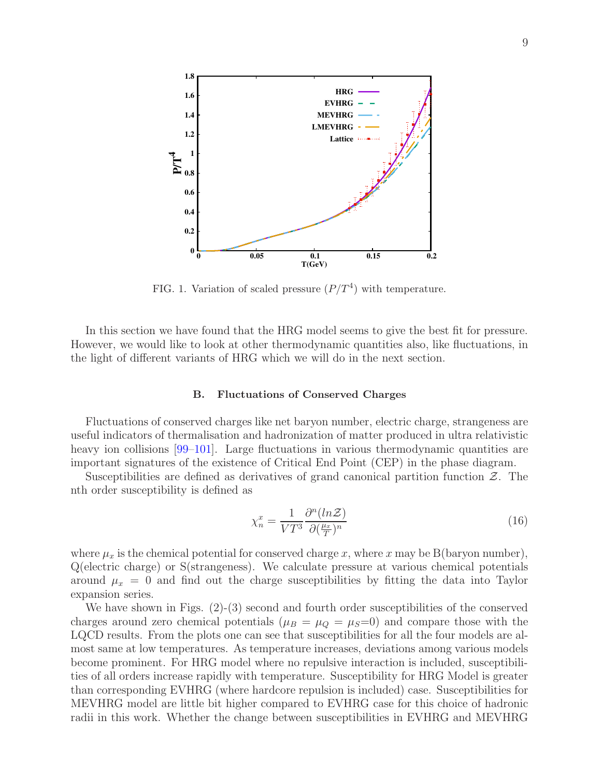

FIG. 1. Variation of scaled pressure  $(P/T<sup>4</sup>)$  with temperature.

In this section we have found that the HRG model seems to give the best fit for pressure. However, we would like to look at other thermodynamic quantities also, like fluctuations, in the light of different variants of HRG which we will do in the next section.

#### B. Fluctuations of Conserved Charges

Fluctuations of conserved charges like net baryon number, electric charge, strangeness are useful indicators of thermalisation and hadronization of matter produced in ultra relativistic heavy ion collisions [99–101]. Large fluctuations in various thermodynamic quantities are important signatures of the existence of Critical End Point (CEP) in the phase diagram.

Susceptibilities are defined as derivatives of grand canonical partition function  $\mathcal{Z}$ . The nth order susceptibility is defined as

$$
\chi_n^x = \frac{1}{VT^3} \frac{\partial^n (ln \mathcal{Z})}{\partial (\frac{\mu_x}{T})^n}
$$
\n(16)

where  $\mu_x$  is the chemical potential for conserved charge x, where x may be B(baryon number), Q(electric charge) or S(strangeness). We calculate pressure at various chemical potentials around  $\mu_x = 0$  and find out the charge susceptibilities by fitting the data into Taylor expansion series.

We have shown in Figs. (2)-(3) second and fourth order susceptibilities of the conserved charges around zero chemical potentials ( $\mu_B = \mu_Q = \mu_S = 0$ ) and compare those with the LQCD results. From the plots one can see that susceptibilities for all the four models are almost same at low temperatures. As temperature increases, deviations among various models become prominent. For HRG model where no repulsive interaction is included, susceptibilities of all orders increase rapidly with temperature. Susceptibility for HRG Model is greater than corresponding EVHRG (where hardcore repulsion is included) case. Susceptibilities for MEVHRG model are little bit higher compared to EVHRG case for this choice of hadronic radii in this work. Whether the change between susceptibilities in EVHRG and MEVHRG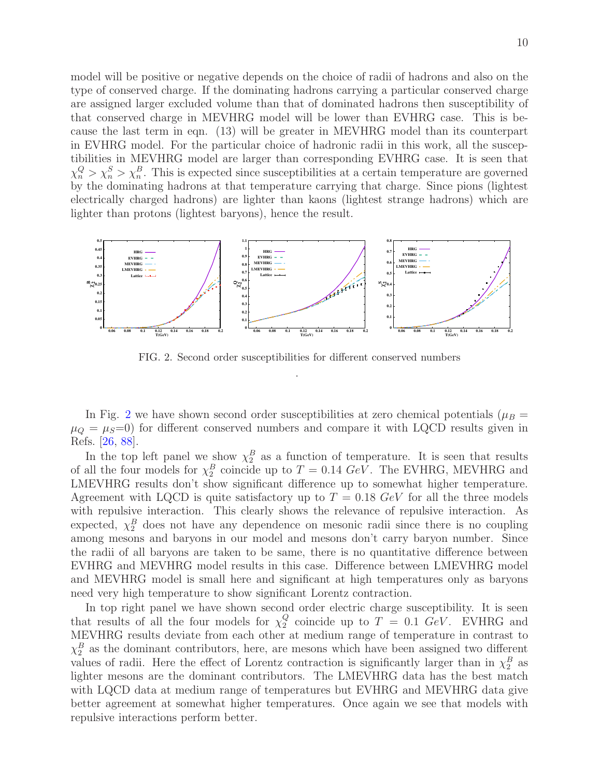model will be positive or negative depends on the choice of radii of hadrons and also on the type of conserved charge. If the dominating hadrons carrying a particular conserved charge are assigned larger excluded volume than that of dominated hadrons then susceptibility of that conserved charge in MEVHRG model will be lower than EVHRG case. This is because the last term in eqn. (13) will be greater in MEVHRG model than its counterpart in EVHRG model. For the particular choice of hadronic radii in this work, all the susceptibilities in MEVHRG model are larger than corresponding EVHRG case. It is seen that  $\chi_n^Q > \chi_n^S > \chi_n^B$ . This is expected since susceptibilities at a certain temperature are governed by the dominating hadrons at that temperature carrying that charge. Since pions (lightest electrically charged hadrons) are lighter than kaons (lightest strange hadrons) which are lighter than protons (lightest baryons), hence the result.



FIG. 2. Second order susceptibilities for different conserved numbers .

In Fig. 2 we have shown second order susceptibilities at zero chemical potentials ( $\mu_B$  =  $\mu_{\mathcal{O}} = \mu_{\mathcal{S}} = 0$  for different conserved numbers and compare it with LQCD results given in Refs. [26, 88].

In the top left panel we show  $\chi_2^B$  as a function of temperature. It is seen that results of all the four models for  $\chi_2^B$  coincide up to  $T = 0.14 \text{ GeV}$ . The EVHRG, MEVHRG and LMEVHRG results don't show significant difference up to somewhat higher temperature. Agreement with LQCD is quite satisfactory up to  $T = 0.18 \text{ GeV}$  for all the three models with repulsive interaction. This clearly shows the relevance of repulsive interaction. As expected,  $\chi_2^B$  does not have any dependence on mesonic radii since there is no coupling among mesons and baryons in our model and mesons don't carry baryon number. Since the radii of all baryons are taken to be same, there is no quantitative difference between EVHRG and MEVHRG model results in this case. Difference between LMEVHRG model and MEVHRG model is small here and significant at high temperatures only as baryons need very high temperature to show significant Lorentz contraction.

In top right panel we have shown second order electric charge susceptibility. It is seen that results of all the four models for  $\chi_2^Q$  $_{2}^{\mathcal{Q}}$  coincide up to  $T = 0.1$  GeV. EVHRG and MEVHRG results deviate from each other at medium range of temperature in contrast to  $\chi_2^B$  as the dominant contributors, here, are mesons which have been assigned two different values of radii. Here the effect of Lorentz contraction is significantly larger than in  $\chi_2^B$  as lighter mesons are the dominant contributors. The LMEVHRG data has the best match with LQCD data at medium range of temperatures but EVHRG and MEVHRG data give better agreement at somewhat higher temperatures. Once again we see that models with repulsive interactions perform better.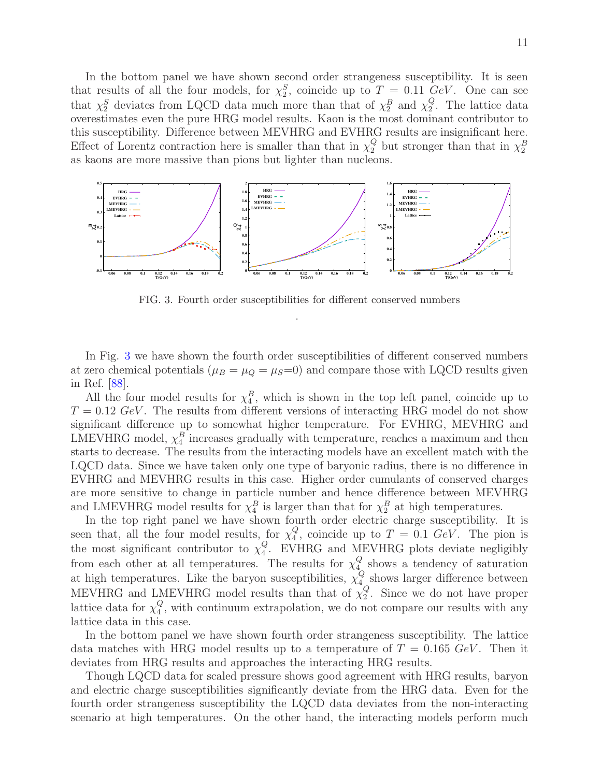In the bottom panel we have shown second order strangeness susceptibility. It is seen that results of all the four models, for  $\chi_2^S$ , coincide up to  $T = 0.11 \text{ GeV}$ . One can see that  $\chi_2^S$  deviates from LQCD data much more than that of  $\chi_2^B$  and  $\chi_2^Q$  $\frac{Q}{2}$ . The lattice data overestimates even the pure HRG model results. Kaon is the most dominant contributor to this susceptibility. Difference between MEVHRG and EVHRG results are insignificant here. Effect of Lorentz contraction here is smaller than that in  $\chi_2^Q$  but stronger than that in  $\chi_2^B$ as kaons are more massive than pions but lighter than nucleons.



FIG. 3. Fourth order susceptibilities for different conserved numbers .

In Fig. 3 we have shown the fourth order susceptibilities of different conserved numbers at zero chemical potentials ( $\mu_B = \mu_Q = \mu_S = 0$ ) and compare those with LQCD results given in Ref. [88].

All the four model results for  $\chi_4^B$ , which is shown in the top left panel, coincide up to  $T = 0.12 \text{ GeV}$ . The results from different versions of interacting HRG model do not show significant difference up to somewhat higher temperature. For EVHRG, MEVHRG and LMEVHRG model,  $\chi_4^B$  increases gradually with temperature, reaches a maximum and then starts to decrease. The results from the interacting models have an excellent match with the LQCD data. Since we have taken only one type of baryonic radius, there is no difference in EVHRG and MEVHRG results in this case. Higher order cumulants of conserved charges are more sensitive to change in particle number and hence difference between MEVHRG and LMEVHRG model results for  $\chi_4^B$  is larger than that for  $\chi_2^B$  at high temperatures.

In the top right panel we have shown fourth order electric charge susceptibility. It is seen that, all the four model results, for  $\chi^Q_4$  $_{4}^{\mathcal{Q}}$ , coincide up to  $T = 0.1$  GeV. The pion is the most significant contributor to  $\chi^Q_4$ 4 . EVHRG and MEVHRG plots deviate negligibly from each other at all temperatures. The results for  $\chi^Q_4$  $\frac{Q}{4}$  shows a tendency of saturation at high temperatures. Like the baryon susceptibilities,  $\chi^Q_4$  $\frac{Q}{4}$  shows larger difference between MEVHRG and LMEVHRG model results than that of  $\chi_2^Q$  $\frac{Q}{2}$ . Since we do not have proper lattice data for  $\chi^Q_4$ 4 , with continuum extrapolation, we do not compare our results with any lattice data in this case.

In the bottom panel we have shown fourth order strangeness susceptibility. The lattice data matches with HRG model results up to a temperature of  $T = 0.165 \text{ GeV}$ . Then it deviates from HRG results and approaches the interacting HRG results.

Though LQCD data for scaled pressure shows good agreement with HRG results, baryon and electric charge susceptibilities significantly deviate from the HRG data. Even for the fourth order strangeness susceptibility the LQCD data deviates from the non-interacting scenario at high temperatures. On the other hand, the interacting models perform much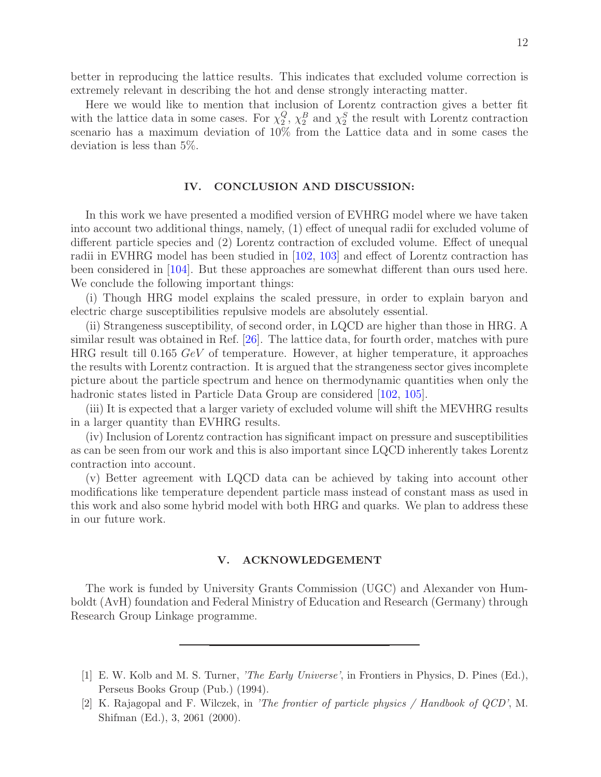better in reproducing the lattice results. This indicates that excluded volume correction is extremely relevant in describing the hot and dense strongly interacting matter.

Here we would like to mention that inclusion of Lorentz contraction gives a better fit with the lattice data in some cases. For  $\chi_2^Q$  $2<sub>2</sub>$ ,  $\chi_2<sup>B</sup>$  and  $\chi_2<sup>S</sup>$  the result with Lorentz contraction scenario has a maximum deviation of 10% from the Lattice data and in some cases the deviation is less than 5%.

## IV. CONCLUSION AND DISCUSSION:

In this work we have presented a modified version of EVHRG model where we have taken into account two additional things, namely, (1) effect of unequal radii for excluded volume of different particle species and (2) Lorentz contraction of excluded volume. Effect of unequal radii in EVHRG model has been studied in [102, 103] and effect of Lorentz contraction has been considered in [104]. But these approaches are somewhat different than ours used here. We conclude the following important things:

(i) Though HRG model explains the scaled pressure, in order to explain baryon and electric charge susceptibilities repulsive models are absolutely essential.

(ii) Strangeness susceptibility, of second order, in LQCD are higher than those in HRG. A similar result was obtained in Ref. [26]. The lattice data, for fourth order, matches with pure HRG result till 0.165 GeV of temperature. However, at higher temperature, it approaches the results with Lorentz contraction. It is argued that the strangeness sector gives incomplete picture about the particle spectrum and hence on thermodynamic quantities when only the hadronic states listed in Particle Data Group are considered [102, 105].

(iii) It is expected that a larger variety of excluded volume will shift the MEVHRG results in a larger quantity than EVHRG results.

(iv) Inclusion of Lorentz contraction has significant impact on pressure and susceptibilities as can be seen from our work and this is also important since LQCD inherently takes Lorentz contraction into account.

(v) Better agreement with LQCD data can be achieved by taking into account other modifications like temperature dependent particle mass instead of constant mass as used in this work and also some hybrid model with both HRG and quarks. We plan to address these in our future work.

## V. ACKNOWLEDGEMENT

The work is funded by University Grants Commission (UGC) and Alexander von Humboldt (AvH) foundation and Federal Ministry of Education and Research (Germany) through Research Group Linkage programme.

- [1] E. W. Kolb and M. S. Turner, 'The Early Universe', in Frontiers in Physics, D. Pines (Ed.), Perseus Books Group (Pub.) (1994).
- [2] K. Rajagopal and F. Wilczek, in 'The frontier of particle physics / Handbook of QCD', M. Shifman (Ed.), 3, 2061 (2000).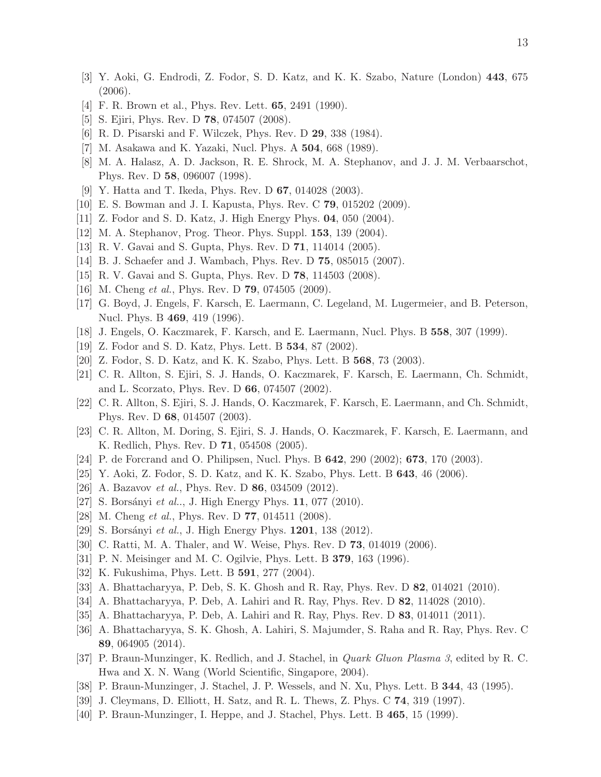- [3] Y. Aoki, G. Endrodi, Z. Fodor, S. D. Katz, and K. K. Szabo, Nature (London) 443, 675 (2006).
- [4] F. R. Brown et al., Phys. Rev. Lett. 65, 2491 (1990).
- [5] S. Ejiri, Phys. Rev. D 78, 074507 (2008).
- [6] R. D. Pisarski and F. Wilczek, Phys. Rev. D 29, 338 (1984).
- [7] M. Asakawa and K. Yazaki, Nucl. Phys. A 504, 668 (1989).
- [8] M. A. Halasz, A. D. Jackson, R. E. Shrock, M. A. Stephanov, and J. J. M. Verbaarschot, Phys. Rev. D 58, 096007 (1998).
- [9] Y. Hatta and T. Ikeda, Phys. Rev. D 67, 014028 (2003).
- [10] E. S. Bowman and J. I. Kapusta, Phys. Rev. C 79, 015202 (2009).
- [11] Z. Fodor and S. D. Katz, J. High Energy Phys. 04, 050 (2004).
- [12] M. A. Stephanov, Prog. Theor. Phys. Suppl. **153**, 139 (2004).
- [13] R. V. Gavai and S. Gupta, Phys. Rev. D **71**, 114014 (2005).
- [14] B. J. Schaefer and J. Wambach, Phys. Rev. D **75**, 085015 (2007).
- [15] R. V. Gavai and S. Gupta, Phys. Rev. D 78, 114503 (2008).
- [16] M. Cheng *et al.*, Phys. Rev. D **79**, 074505 (2009).
- [17] G. Boyd, J. Engels, F. Karsch, E. Laermann, C. Legeland, M. Lugermeier, and B. Peterson, Nucl. Phys. B 469, 419 (1996).
- [18] J. Engels, O. Kaczmarek, F. Karsch, and E. Laermann, Nucl. Phys. B 558, 307 (1999).
- [19] Z. Fodor and S. D. Katz, Phys. Lett. B 534, 87 (2002).
- [20] Z. Fodor, S. D. Katz, and K. K. Szabo, Phys. Lett. B 568, 73 (2003).
- [21] C. R. Allton, S. Ejiri, S. J. Hands, O. Kaczmarek, F. Karsch, E. Laermann, Ch. Schmidt, and L. Scorzato, Phys. Rev. D 66, 074507 (2002).
- [22] C. R. Allton, S. Ejiri, S. J. Hands, O. Kaczmarek, F. Karsch, E. Laermann, and Ch. Schmidt, Phys. Rev. D 68, 014507 (2003).
- [23] C. R. Allton, M. Doring, S. Ejiri, S. J. Hands, O. Kaczmarek, F. Karsch, E. Laermann, and K. Redlich, Phys. Rev. D 71, 054508 (2005).
- [24] P. de Forcrand and O. Philipsen, Nucl. Phys. B 642, 290 (2002); 673, 170 (2003).
- [25] Y. Aoki, Z. Fodor, S. D. Katz, and K. K. Szabo, Phys. Lett. B 643, 46 (2006).
- [26] A. Bazavov *et al.*, Phys. Rev. D **86**, 034509 (2012).
- [27] S. Borsányi et al.., J. High Energy Phys.  $11, 077$  (2010).
- [28] M. Cheng *et al.*, Phys. Rev. D **77**, 014511 (2008).
- [29] S. Borsányi *et al.*, J. High Energy Phys. **1201**, 138 (2012).
- [30] C. Ratti, M. A. Thaler, and W. Weise, Phys. Rev. D **73**, 014019 (2006).
- [31] P. N. Meisinger and M. C. Ogilvie, Phys. Lett. B 379, 163 (1996).
- [32] K. Fukushima, Phys. Lett. B **591**, 277 (2004).
- [33] A. Bhattacharyya, P. Deb, S. K. Ghosh and R. Ray, Phys. Rev. D 82, 014021 (2010).
- [34] A. Bhattacharyya, P. Deb, A. Lahiri and R. Ray, Phys. Rev. D 82, 114028 (2010).
- [35] A. Bhattacharyya, P. Deb, A. Lahiri and R. Ray, Phys. Rev. D 83, 014011 (2011).
- [36] A. Bhattacharyya, S. K. Ghosh, A. Lahiri, S. Majumder, S. Raha and R. Ray, Phys. Rev. C 89, 064905 (2014).
- [37] P. Braun-Munzinger, K. Redlich, and J. Stachel, in Quark Gluon Plasma 3, edited by R. C. Hwa and X. N. Wang (World Scientific, Singapore, 2004).
- [38] P. Braun-Munzinger, J. Stachel, J. P. Wessels, and N. Xu, Phys. Lett. B 344, 43 (1995).
- [39] J. Cleymans, D. Elliott, H. Satz, and R. L. Thews, Z. Phys. C 74, 319 (1997).
- [40] P. Braun-Munzinger, I. Heppe, and J. Stachel, Phys. Lett. B 465, 15 (1999).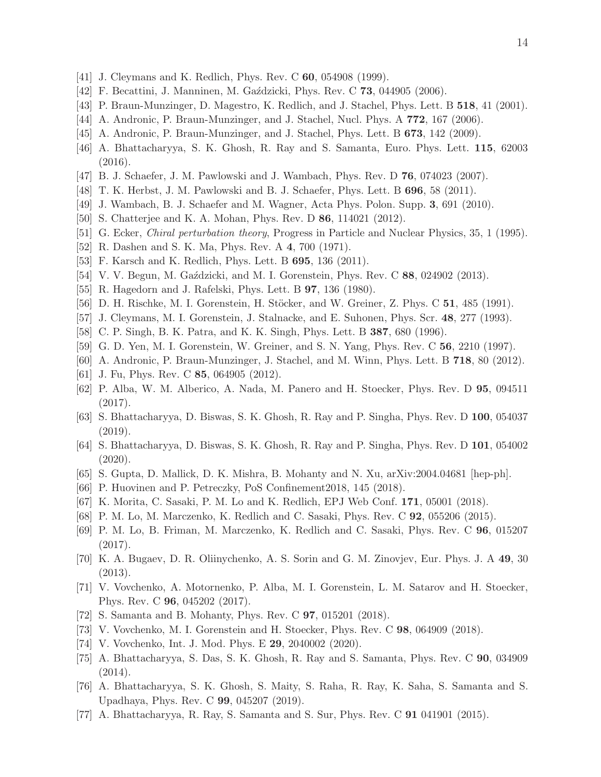- [41] J. Cleymans and K. Redlich, Phys. Rev. C **60**, 054908 (1999).
- [42] F. Becattini, J. Manninen, M. Gaździcki, Phys. Rev. C 73, 044905 (2006).
- [43] P. Braun-Munzinger, D. Magestro, K. Redlich, and J. Stachel, Phys. Lett. B 518, 41 (2001).
- [44] A. Andronic, P. Braun-Munzinger, and J. Stachel, Nucl. Phys. A 772, 167 (2006).
- [45] A. Andronic, P. Braun-Munzinger, and J. Stachel, Phys. Lett. B 673, 142 (2009).
- [46] A. Bhattacharyya, S. K. Ghosh, R. Ray and S. Samanta, Euro. Phys. Lett. 115, 62003 (2016).
- [47] B. J. Schaefer, J. M. Pawlowski and J. Wambach, Phys. Rev. D 76, 074023 (2007).
- [48] T. K. Herbst, J. M. Pawlowski and B. J. Schaefer, Phys. Lett. B 696, 58 (2011).
- [49] J. Wambach, B. J. Schaefer and M. Wagner, Acta Phys. Polon. Supp. 3, 691 (2010).
- [50] S. Chatterjee and K. A. Mohan, Phys. Rev. D 86, 114021 (2012).
- [51] G. Ecker, *Chiral perturbation theory*, Progress in Particle and Nuclear Physics, 35, 1 (1995).
- [52] R. Dashen and S. K. Ma, Phys. Rev. A 4, 700 (1971).
- [53] F. Karsch and K. Redlich, Phys. Lett. B 695, 136 (2011).
- [54] V. V. Begun, M. Gaździcki, and M. I. Gorenstein, Phys. Rev. C 88, 024902 (2013).
- [55] R. Hagedorn and J. Rafelski, Phys. Lett. B 97, 136 (1980).
- [56] D. H. Rischke, M. I. Gorenstein, H. Stöcker, and W. Greiner, Z. Phys. C 51, 485 (1991).
- [57] J. Cleymans, M. I. Gorenstein, J. Stalnacke, and E. Suhonen, Phys. Scr. 48, 277 (1993).
- [58] C. P. Singh, B. K. Patra, and K. K. Singh, Phys. Lett. B 387, 680 (1996).
- [59] G. D. Yen, M. I. Gorenstein, W. Greiner, and S. N. Yang, Phys. Rev. C 56, 2210 (1997).
- [60] A. Andronic, P. Braun-Munzinger, J. Stachel, and M. Winn, Phys. Lett. B 718, 80 (2012).
- [61] J. Fu, Phys. Rev. C **85**, 064905 (2012).
- [62] P. Alba, W. M. Alberico, A. Nada, M. Panero and H. Stoecker, Phys. Rev. D 95, 094511 (2017).
- [63] S. Bhattacharyya, D. Biswas, S. K. Ghosh, R. Ray and P. Singha, Phys. Rev. D 100, 054037 (2019).
- [64] S. Bhattacharyya, D. Biswas, S. K. Ghosh, R. Ray and P. Singha, Phys. Rev. D 101, 054002 (2020).
- [65] S. Gupta, D. Mallick, D. K. Mishra, B. Mohanty and N. Xu, arXiv:2004.04681 [hep-ph].
- [66] P. Huovinen and P. Petreczky, PoS Confinement2018, 145 (2018).
- [67] K. Morita, C. Sasaki, P. M. Lo and K. Redlich, EPJ Web Conf. 171, 05001 (2018).
- [68] P. M. Lo, M. Marczenko, K. Redlich and C. Sasaki, Phys. Rev. C 92, 055206 (2015).
- [69] P. M. Lo, B. Friman, M. Marczenko, K. Redlich and C. Sasaki, Phys. Rev. C 96, 015207 (2017).
- [70] K. A. Bugaev, D. R. Oliinychenko, A. S. Sorin and G. M. Zinovjev, Eur. Phys. J. A 49, 30 (2013).
- [71] V. Vovchenko, A. Motornenko, P. Alba, M. I. Gorenstein, L. M. Satarov and H. Stoecker, Phys. Rev. C 96, 045202 (2017).
- [72] S. Samanta and B. Mohanty, Phys. Rev. C 97, 015201 (2018).
- [73] V. Vovchenko, M. I. Gorenstein and H. Stoecker, Phys. Rev. C 98, 064909 (2018).
- [74] V. Vovchenko, Int. J. Mod. Phys. E 29, 2040002 (2020).
- [75] A. Bhattacharyya, S. Das, S. K. Ghosh, R. Ray and S. Samanta, Phys. Rev. C 90, 034909  $(2014).$
- [76] A. Bhattacharyya, S. K. Ghosh, S. Maity, S. Raha, R. Ray, K. Saha, S. Samanta and S. Upadhaya, Phys. Rev. C 99, 045207 (2019).
- [77] A. Bhattacharyya, R. Ray, S. Samanta and S. Sur, Phys. Rev. C 91 041901 (2015).